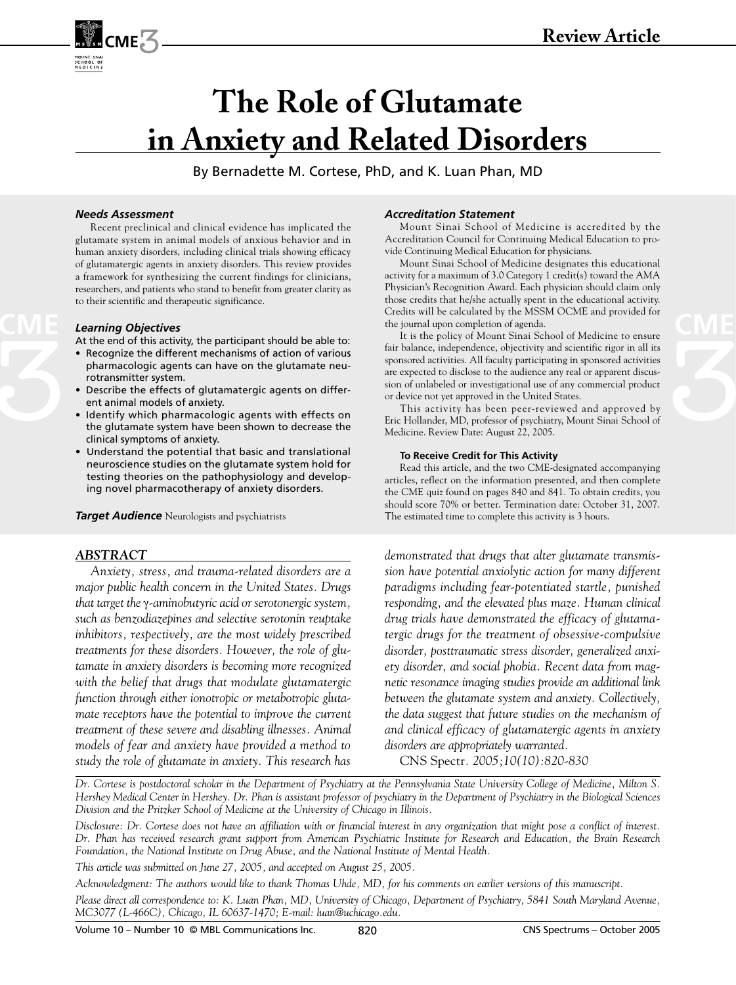

# **The Role of Glutamate in Anxiety and Related Disorders**

By Bernadette M. Cortese, PhD, and K. Luan Phan, MD

#### *Needs Assessment*

Recent preclinical and clinical evidence has implicated the glutamate system in animal models of anxious behavior and in human anxiety disorders, including clinical trials showing efficacy of glutamatergic agents in anxiety disorders. This review provides a framework for synthesizing the current findings for clinicians, researchers, and patients who stand to benefit from greater clarity as to their scientific and therapeutic significance.

#### *Learning Objectives*

At the end of this activity, the participant should be able to:

- Recognize the different mechanisms of action of various pharmacologic agents can have on the glutamate neurotransmitter system.
- Describe the effects of glutamatergic agents on different animal models of anxiety.
- Identify which pharmacologic agents with effects on the glutamate system have been shown to decrease the clinical symptoms of anxiety.
- Understand the potential that basic and translational neuroscience studies on the glutamate system hold for testing theories on the pathophysiology and developing novel pharmacotherapy of anxiety disorders.

*Target Audience* Neurologists and psychiatrists

## *ABSTRACT*

*Anxiety, stress, and trauma-related disorders are a major public health concern in the United States. Drugs that target the* γ*-aminobutyric acid or serotonergic system, such as benzodiazepines and selective serotonin reuptake inhibitors, respectively, are the most widely prescribed treatments for these disorders. However, the role of glutamate in anxiety disorders is becoming more recognized with the belief that drugs that modulate glutamatergic function through either ionotropic or metabotropic glutamate receptors have the potential to improve the current treatment of these severe and disabling illnesses. Animal models of fear and anxiety have provided a method to study the role of glutamate in anxiety. This research has* 

#### *Accreditation Statement*

Mount Sinai School of Medicine is accredited by the Accreditation Council for Continuing Medical Education to provide Continuing Medical Education for physicians.

Mount Sinai School of Medicine designates this educational activity for a maximum of 3.0 Category 1 credit(s) toward the AMA Physician's Recognition Award. Each physician should claim only those credits that he/she actually spent in the educational activity. Credits will be calculated by the MSSM OCME and provided for the journal upon completion of agenda. **Executed** by the MSSM OCME and provided for<br> **Learning Objectives**<br> **CME COME AND COME AND COME AND COME AND COME AND THE SCHOOL OF MEDICINE OF A COME AND COME AND COME AND THE SCHOOL OF MEDICINE OF A COME AND COME AND** 

fair balance, independence, objectivity and scientific rigor in all its sponsored activities. All faculty participating in sponsored activities are expected to disclose to the audience any real or apparent discussion of unlabeled or investigational use of any commercial product or device not yet approved in the United States.

This activity has been peer-reviewed and approved by Eric Hollander, MD, professor of psychiatry, Mount Sinai School of Medicine. Review Date: August 22, 2005.

#### **To Receive Credit for This Activity**

Read this article, and the two CME-designated accompanying articles, reflect on the information presented, and then complete the CME quiz found on pages 840 and 841. To obtain credits, you should score 70% or better. Termination date: October 31, 2007. The estimated time to complete this activity is 3 hours.

*demonstrated that drugs that alter glutamate transmission have potential anxiolytic action for many different paradigms including fear-potentiated startle, punished responding, and the elevated plus maze. Human clinical drug trials have demonstrated the efficacy of glutamatergic drugs for the treatment of obsessive-compulsive disorder, posttraumatic stress disorder, generalized anxiety disorder, and social phobia. Recent data from magnetic resonance imaging studies provide an additional link between the glutamate system and anxiety. Collectively, the data suggest that future studies on the mechanism of and clinical efficacy of glutamatergic agents in anxiety disorders are appropriately warranted.* 

CNS Spectr*. 2005;10(10):820-830*

*Dr. Cortese is postdoctoral scholar in the Department of Psychiatry at the Pennsylvania State University College of Medicine, Milton S. Hershey Medical Center in Hershey. Dr. Phan is assistant professor of psychiatry in the Department of Psychiatry in the Biological Sciences Division and the Pritzker School of Medicine at the University of Chicago in Illinois.*

*Disclosure: Dr. Cortese does not have an affiliation with or financial interest in any organization that might pose a conflict of interest. Dr. Phan has received research grant support from American Psychiatric Institute for Research and Education, the Brain Research Foundation, the National Institute on Drug Abuse, and the National Institute of Mental Health.*

*This article was submitted on June 27, 2005, and accepted on August 25, 2005.*

*Acknowledgment: The authors would like to thank Thomas Uhde, MD, for his comments on earlier versions of this manuscript.*

*Please direct all correspondence to: K. Luan Phan, MD, University of Chicago, Department of Psychiatry, 5841 South Maryland Avenue, MC3077 (L-466C), Chicago, IL 60637-1470; E-mail: luan@uchicago.edu.*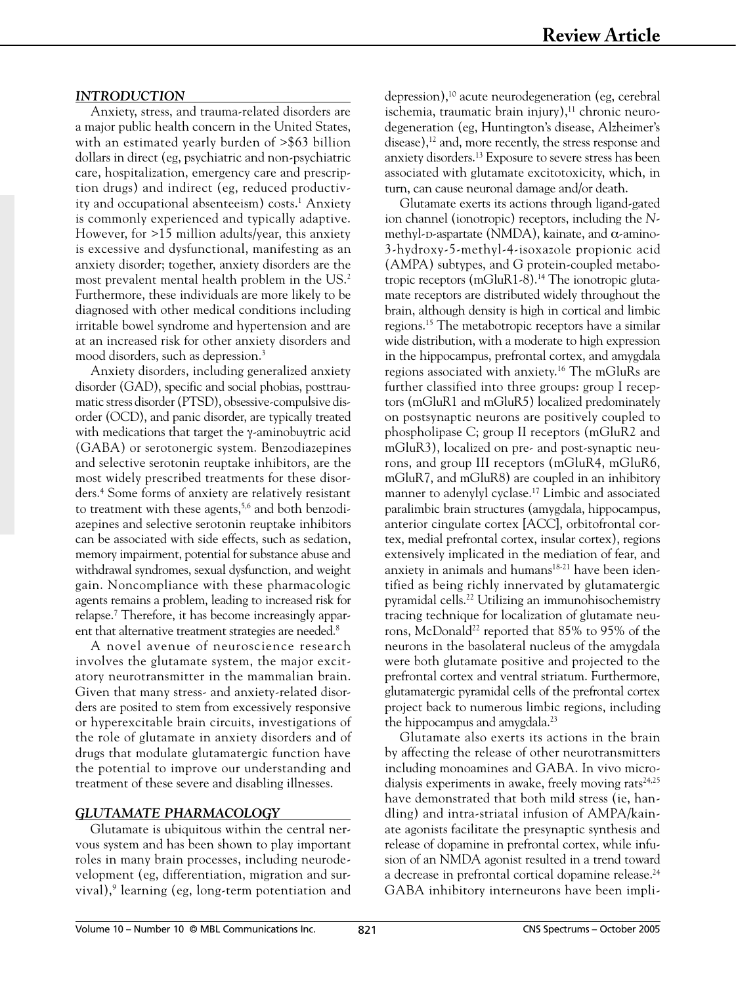# *INTRODUCTION*

Anxiety, stress, and trauma-related disorders are a major public health concern in the United States, with an estimated yearly burden of >\$63 billion dollars in direct (eg, psychiatric and non-psychiatric care, hospitalization, emergency care and prescription drugs) and indirect (eg, reduced productivity and occupational absenteeism) costs.<sup>1</sup> Anxiety is commonly experienced and typically adaptive. However, for >15 million adults/year, this anxiety is excessive and dysfunctional, manifesting as an anxiety disorder; together, anxiety disorders are the most prevalent mental health problem in the US.<sup>2</sup> Furthermore, these individuals are more likely to be diagnosed with other medical conditions including irritable bowel syndrome and hypertension and are at an increased risk for other anxiety disorders and mood disorders, such as depression.<sup>3</sup>

Anxiety disorders, including generalized anxiety disorder (GAD), specific and social phobias, posttraumatic stress disorder (PTSD), obsessive-compulsive disorder (OCD), and panic disorder, are typically treated with medications that target the γ-aminobuytric acid (GABA) or serotonergic system. Benzodiazepines and selective serotonin reuptake inhibitors, are the most widely prescribed treatments for these disorders.4 Some forms of anxiety are relatively resistant to treatment with these agents,<sup>5,6</sup> and both benzodiazepines and selective serotonin reuptake inhibitors can be associated with side effects, such as sedation, memory impairment, potential for substance abuse and withdrawal syndromes, sexual dysfunction, and weight gain. Noncompliance with these pharmacologic agents remains a problem, leading to increased risk for relapse.7 Therefore, it has become increasingly apparent that alternative treatment strategies are needed.<sup>8</sup>

A novel avenue of neuroscience research involves the glutamate system, the major excitatory neurotransmitter in the mammalian brain. Given that many stress- and anxiety-related disorders are posited to stem from excessively responsive or hyperexcitable brain circuits, investigations of the role of glutamate in anxiety disorders and of drugs that modulate glutamatergic function have the potential to improve our understanding and treatment of these severe and disabling illnesses.

# *GLUTAMATE PHARMACOLOGY*

Glutamate is ubiquitous within the central nervous system and has been shown to play important roles in many brain processes, including neurodevelopment (eg, differentiation, migration and survival),9 learning (eg, long-term potentiation and

depression),<sup>10</sup> acute neurodegeneration (eg, cerebral ischemia, traumatic brain injury), $11$  chronic neurodegeneration (eg, Huntington's disease, Alzheimer's disease),<sup>12</sup> and, more recently, the stress response and anxiety disorders.13 Exposure to severe stress has been associated with glutamate excitotoxicity, which, in turn, can cause neuronal damage and/or death.

Glutamate exerts its actions through ligand-gated ion channel (ionotropic) receptors, including the *N*methyl-p-aspartate (NMDA), kainate, and  $\alpha$ -amino-3-hydroxy-5-methyl-4-isoxazole propionic acid (AMPA) subtypes, and G protein-coupled metabotropic receptors (mGluR1-8).14 The ionotropic glutamate receptors are distributed widely throughout the brain, although density is high in cortical and limbic regions.15 The metabotropic receptors have a similar wide distribution, with a moderate to high expression in the hippocampus, prefrontal cortex, and amygdala regions associated with anxiety.16 The mGluRs are further classified into three groups: group I receptors (mGluR1 and mGluR5) localized predominately on postsynaptic neurons are positively coupled to phospholipase C; group II receptors (mGluR2 and mGluR3), localized on pre- and post-synaptic neurons, and group III receptors (mGluR4, mGluR6, mGluR7, and mGluR8) are coupled in an inhibitory manner to adenylyl cyclase.17 Limbic and associated paralimbic brain structures (amygdala, hippocampus, anterior cingulate cortex [ACC], orbitofrontal cortex, medial prefrontal cortex, insular cortex), regions extensively implicated in the mediation of fear, and anxiety in animals and humans<sup>18-21</sup> have been identified as being richly innervated by glutamatergic pyramidal cells.22 Utilizing an immunohisochemistry tracing technique for localization of glutamate neurons, McDonald<sup>22</sup> reported that 85% to 95% of the neurons in the basolateral nucleus of the amygdala were both glutamate positive and projected to the prefrontal cortex and ventral striatum. Furthermore, glutamatergic pyramidal cells of the prefrontal cortex project back to numerous limbic regions, including the hippocampus and amygdala.<sup>23</sup>

Glutamate also exerts its actions in the brain by affecting the release of other neurotransmitters including monoamines and GABA. In vivo microdialysis experiments in awake, freely moving rats<sup>24,25</sup> have demonstrated that both mild stress (ie, handling) and intra-striatal infusion of AMPA/kainate agonists facilitate the presynaptic synthesis and release of dopamine in prefrontal cortex, while infusion of an NMDA agonist resulted in a trend toward a decrease in prefrontal cortical dopamine release.<sup>24</sup> GABA inhibitory interneurons have been impli-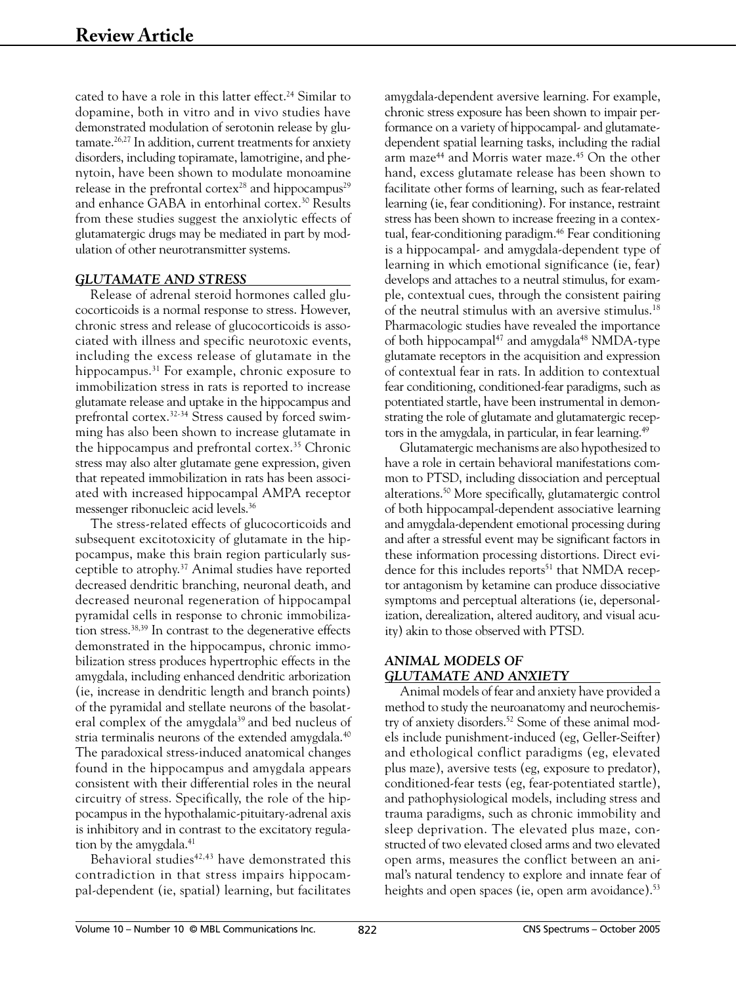cated to have a role in this latter effect.<sup>24</sup> Similar to dopamine, both in vitro and in vivo studies have demonstrated modulation of serotonin release by glu $t$ amate.<sup>26,27</sup> In addition, current treatments for anxiety disorders, including topiramate, lamotrigine, and phenytoin, have been shown to modulate monoamine release in the prefrontal cortex<sup>28</sup> and hippocampus<sup>29</sup> and enhance GABA in entorhinal cortex.30 Results from these studies suggest the anxiolytic effects of glutamatergic drugs may be mediated in part by modulation of other neurotransmitter systems.

# *GLUTAMATE AND STRESS*

Release of adrenal steroid hormones called glucocorticoids is a normal response to stress. However, chronic stress and release of glucocorticoids is associated with illness and specific neurotoxic events, including the excess release of glutamate in the hippocampus.31 For example, chronic exposure to immobilization stress in rats is reported to increase glutamate release and uptake in the hippocampus and prefrontal cortex.32-34 Stress caused by forced swimming has also been shown to increase glutamate in the hippocampus and prefrontal cortex.<sup>35</sup> Chronic stress may also alter glutamate gene expression, given that repeated immobilization in rats has been associated with increased hippocampal AMPA receptor messenger ribonucleic acid levels.36

The stress-related effects of glucocorticoids and subsequent excitotoxicity of glutamate in the hippocampus, make this brain region particularly susceptible to atrophy.37 Animal studies have reported decreased dendritic branching, neuronal death, and decreased neuronal regeneration of hippocampal pyramidal cells in response to chronic immobilization stress.38,39 In contrast to the degenerative effects demonstrated in the hippocampus, chronic immobilization stress produces hypertrophic effects in the amygdala, including enhanced dendritic arborization (ie, increase in dendritic length and branch points) of the pyramidal and stellate neurons of the basolateral complex of the amygdala<sup>39</sup> and bed nucleus of stria terminalis neurons of the extended amygdala.<sup>40</sup> The paradoxical stress-induced anatomical changes found in the hippocampus and amygdala appears consistent with their differential roles in the neural circuitry of stress. Specifically, the role of the hippocampus in the hypothalamic-pituitary-adrenal axis is inhibitory and in contrast to the excitatory regulation by the amygdala.<sup>41</sup>

Behavioral studies<sup>42,43</sup> have demonstrated this contradiction in that stress impairs hippocampal-dependent (ie, spatial) learning, but facilitates

amygdala-dependent aversive learning. For example, chronic stress exposure has been shown to impair performance on a variety of hippocampal- and glutamatedependent spatial learning tasks, including the radial arm maze<sup>44</sup> and Morris water maze.<sup>45</sup> On the other hand, excess glutamate release has been shown to facilitate other forms of learning, such as fear-related learning (ie, fear conditioning). For instance, restraint stress has been shown to increase freezing in a contextual, fear-conditioning paradigm.46 Fear conditioning is a hippocampal- and amygdala-dependent type of learning in which emotional significance (ie, fear) develops and attaches to a neutral stimulus, for example, contextual cues, through the consistent pairing of the neutral stimulus with an aversive stimulus.18 Pharmacologic studies have revealed the importance of both hippocampal<sup>47</sup> and amygdala<sup>48</sup> NMDA-type glutamate receptors in the acquisition and expression of contextual fear in rats. In addition to contextual fear conditioning, conditioned-fear paradigms, such as potentiated startle, have been instrumental in demonstrating the role of glutamate and glutamatergic receptors in the amygdala, in particular, in fear learning.<sup>49</sup>

Glutamatergic mechanisms are also hypothesized to have a role in certain behavioral manifestations common to PTSD, including dissociation and perceptual alterations.50 More specifically, glutamatergic control of both hippocampal-dependent associative learning and amygdala-dependent emotional processing during and after a stressful event may be significant factors in these information processing distortions. Direct evidence for this includes reports<sup>51</sup> that NMDA receptor antagonism by ketamine can produce dissociative symptoms and perceptual alterations (ie, depersonalization, derealization, altered auditory, and visual acuity) akin to those observed with PTSD.

# *ANIMAL MODELS OF GLUTAMATE AND ANXIETY*

Animal models of fear and anxiety have provided a method to study the neuroanatomy and neurochemistry of anxiety disorders.<sup>52</sup> Some of these animal models include punishment-induced (eg, Geller-Seifter) and ethological conflict paradigms (eg, elevated plus maze), aversive tests (eg, exposure to predator), conditioned-fear tests (eg, fear-potentiated startle), and pathophysiological models, including stress and trauma paradigms, such as chronic immobility and sleep deprivation. The elevated plus maze, constructed of two elevated closed arms and two elevated open arms, measures the conflict between an animal's natural tendency to explore and innate fear of heights and open spaces (ie, open arm avoidance).<sup>53</sup>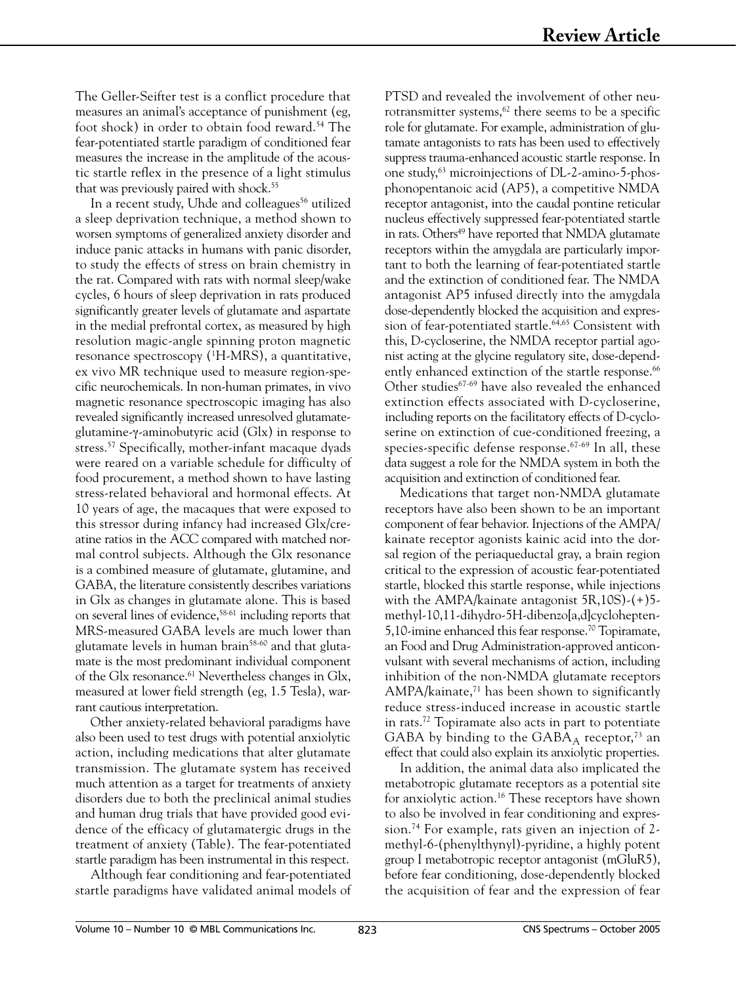The Geller-Seifter test is a conflict procedure that measures an animal's acceptance of punishment (eg, foot shock) in order to obtain food reward.<sup>54</sup> The fear-potentiated startle paradigm of conditioned fear measures the increase in the amplitude of the acoustic startle reflex in the presence of a light stimulus that was previously paired with shock.<sup>55</sup>

In a recent study, Uhde and colleagues<sup>56</sup> utilized a sleep deprivation technique, a method shown to worsen symptoms of generalized anxiety disorder and induce panic attacks in humans with panic disorder, to study the effects of stress on brain chemistry in the rat. Compared with rats with normal sleep/wake cycles, 6 hours of sleep deprivation in rats produced significantly greater levels of glutamate and aspartate in the medial prefrontal cortex, as measured by high resolution magic-angle spinning proton magnetic resonance spectroscopy (1 H-MRS), a quantitative, ex vivo MR technique used to measure region-specific neurochemicals. In non-human primates, in vivo magnetic resonance spectroscopic imaging has also revealed significantly increased unresolved glutamateglutamine-γ-aminobutyric acid (Glx) in response to stress.57 Specifically, mother-infant macaque dyads were reared on a variable schedule for difficulty of food procurement, a method shown to have lasting stress-related behavioral and hormonal effects. At 10 years of age, the macaques that were exposed to this stressor during infancy had increased Glx/creatine ratios in the ACC compared with matched normal control subjects. Although the Glx resonance is a combined measure of glutamate, glutamine, and GABA, the literature consistently describes variations in Glx as changes in glutamate alone. This is based on several lines of evidence,58-61 including reports that MRS-measured GABA levels are much lower than glutamate levels in human brain<sup>58-60</sup> and that glutamate is the most predominant individual component of the Glx resonance.61 Nevertheless changes in Glx, measured at lower field strength (eg, 1.5 Tesla), warrant cautious interpretation.

Other anxiety-related behavioral paradigms have also been used to test drugs with potential anxiolytic action, including medications that alter glutamate transmission. The glutamate system has received much attention as a target for treatments of anxiety disorders due to both the preclinical animal studies and human drug trials that have provided good evidence of the efficacy of glutamatergic drugs in the treatment of anxiety (Table). The fear-potentiated startle paradigm has been instrumental in this respect.

Although fear conditioning and fear-potentiated startle paradigms have validated animal models of

PTSD and revealed the involvement of other neurotransmitter systems, $62$  there seems to be a specific role for glutamate. For example, administration of glutamate antagonists to rats has been used to effectively suppress trauma-enhanced acoustic startle response. In one study,63 microinjections of DL-2-amino-5-phosphonopentanoic acid (AP5), a competitive NMDA receptor antagonist, into the caudal pontine reticular nucleus effectively suppressed fear-potentiated startle in rats. Others<sup>49</sup> have reported that NMDA glutamate receptors within the amygdala are particularly important to both the learning of fear-potentiated startle and the extinction of conditioned fear. The NMDA antagonist AP5 infused directly into the amygdala dose-dependently blocked the acquisition and expression of fear-potentiated startle.<sup>64,65</sup> Consistent with this, D-cycloserine, the NMDA receptor partial agonist acting at the glycine regulatory site, dose-dependently enhanced extinction of the startle response.<sup>66</sup> Other studies<sup>67-69</sup> have also revealed the enhanced extinction effects associated with D-cycloserine, including reports on the facilitatory effects of D-cycloserine on extinction of cue-conditioned freezing, a species-specific defense response.67-69 In all, these data suggest a role for the NMDA system in both the acquisition and extinction of conditioned fear.

Medications that target non-NMDA glutamate receptors have also been shown to be an important component of fear behavior. Injections of the AMPA/ kainate receptor agonists kainic acid into the dorsal region of the periaqueductal gray, a brain region critical to the expression of acoustic fear-potentiated startle, blocked this startle response, while injections with the AMPA/kainate antagonist 5R,10S)-(+)5 methyl-10,11-dihydro-5H-dibenzo[a,d]cyclohepten-5,10-imine enhanced this fear response.<sup>70</sup> Topiramate, an Food and Drug Administration-approved anticonvulsant with several mechanisms of action, including inhibition of the non-NMDA glutamate receptors AMPA/kainate, $71$  has been shown to significantly reduce stress-induced increase in acoustic startle in rats.72 Topiramate also acts in part to potentiate GABA by binding to the  $GABA_A$  receptor,<sup>73</sup> an effect that could also explain its anxiolytic properties.

In addition, the animal data also implicated the metabotropic glutamate receptors as a potential site for anxiolytic action.16 These receptors have shown to also be involved in fear conditioning and expression.74 For example, rats given an injection of 2 methyl-6-(phenylthynyl)-pyridine, a highly potent group I metabotropic receptor antagonist (mGluR5), before fear conditioning, dose-dependently blocked the acquisition of fear and the expression of fear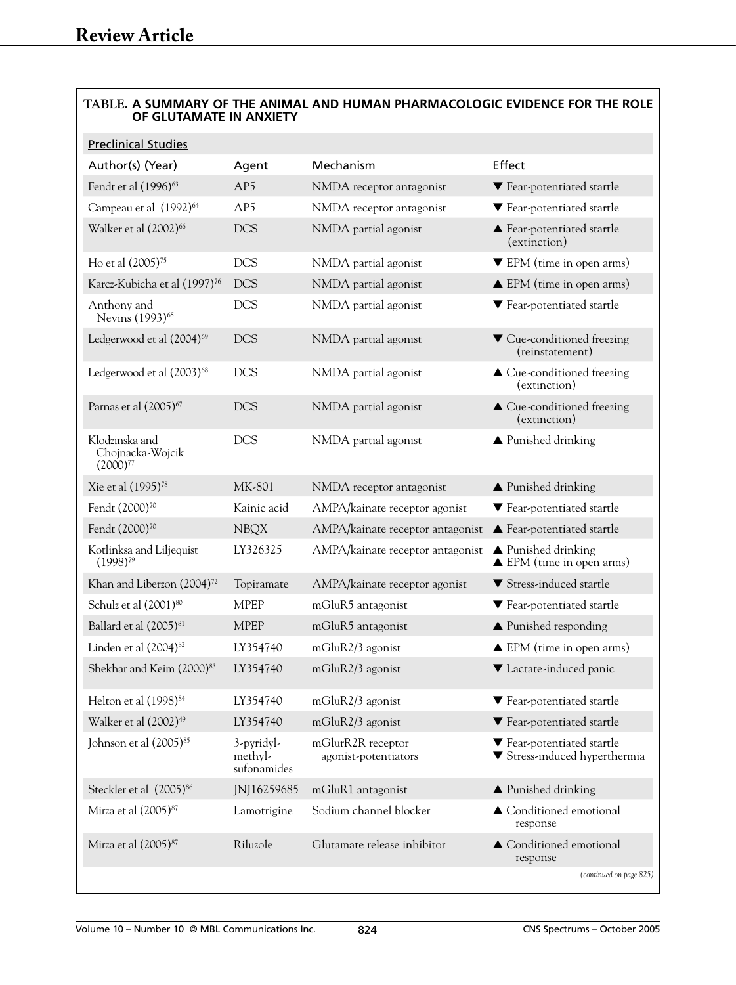# **TABLE. A SUMMARY OF THE ANIMAL AND HUMAN PHARMACOLOGIC EVIDENCE FOR THE ROLE OF GLUTAMATE IN ANXIETY**

| <b>Preclinical Studies</b>                          |                                      |                                           |                                                                      |
|-----------------------------------------------------|--------------------------------------|-------------------------------------------|----------------------------------------------------------------------|
| Author(s) (Year)                                    | <b>Agent</b>                         | Mechanism                                 | <b>Effect</b>                                                        |
| Fendt et al (1996) <sup>63</sup>                    | AP5                                  | NMDA receptor antagonist                  | ▼ Fear-potentiated startle                                           |
| Campeau et al (1992) <sup>64</sup>                  | AP <sub>5</sub>                      | NMDA receptor antagonist                  | ▼ Fear-potentiated startle                                           |
| Walker et al (2002) <sup>66</sup>                   | DCS                                  | NMDA partial agonist                      | ▲ Fear-potentiated startle<br>(extinction)                           |
| Ho et al (2005) <sup>75</sup>                       | <b>DCS</b>                           | NMDA partial agonist                      | $\nabla$ EPM (time in open arms)                                     |
| Karcz-Kubicha et al (1997) <sup>76</sup>            | <b>DCS</b>                           | NMDA partial agonist                      | $\triangle$ EPM (time in open arms)                                  |
| Anthony and<br>Nevins (1993) <sup>65</sup>          | <b>DCS</b>                           | NMDA partial agonist                      | ▼ Fear-potentiated startle                                           |
| Ledgerwood et al (2004) <sup>69</sup>               | <b>DCS</b>                           | NMDA partial agonist                      | ▼ Cue-conditioned freezing<br>(reinstatement)                        |
| Ledgerwood et al (2003) <sup>68</sup>               | <b>DCS</b>                           | NMDA partial agonist                      | ▲ Cue-conditioned freezing<br>(extinction)                           |
| Parnas et al (2005) <sup>67</sup>                   | DCS                                  | NMDA partial agonist                      | ▲ Cue-conditioned freezing<br>(extinction)                           |
| Klodzinska and<br>Chojnacka-Wojcik<br>$(2000)^{77}$ | <b>DCS</b>                           | NMDA partial agonist                      | $\blacktriangle$ Punished drinking                                   |
| Xie et al (1995) <sup>78</sup>                      | MK-801                               | NMDA receptor antagonist                  | $\blacktriangle$ Punished drinking                                   |
| Fendt (2000) <sup>70</sup>                          | Kainic acid                          | AMPA/kainate receptor agonist             | ▼ Fear-potentiated startle                                           |
| Fendt (2000) <sup>70</sup>                          | <b>NBQX</b>                          | AMPA/kainate receptor antagonist          | $\blacktriangle$ Fear-potentiated startle                            |
| Kotlinksa and Liljequist<br>$(1998)^{79}$           | LY326325                             | AMPA/kainate receptor antagonist          | $\triangle$ Punished drinking<br>$\triangle$ EPM (time in open arms) |
| Khan and Liberzon (2004) <sup>72</sup>              | Topiramate                           | AMPA/kainate receptor agonist             | ▼ Stress-induced startle                                             |
| Schulz et al (2001) <sup>80</sup>                   | <b>MPEP</b>                          | mGluR5 antagonist                         | ▼ Fear-potentiated startle                                           |
| Ballard et al (2005) <sup>81</sup>                  | <b>MPEP</b>                          | mGluR5 antagonist                         | $\blacktriangle$ Punished responding                                 |
| Linden et al (2004) <sup>82</sup>                   | LY354740                             | mGluR2/3 agonist                          | $\triangle$ EPM (time in open arms)                                  |
| Shekhar and Keim (2000) <sup>83</sup>               | LY354740                             | mGluR2/3 agonist                          | ▼ Lactate-induced panic                                              |
| Helton et al (1998) <sup>84</sup>                   | LY354740                             | mGluR2/3 agonist                          | $\blacktriangledown$ Fear-potentiated startle                        |
| Walker et al (2002) <sup>49</sup>                   | LY354740                             | mGluR2/3 agonist                          | ▼ Fear-potentiated startle                                           |
| Johnson et al (2005) <sup>85</sup>                  | 3-pyridyl-<br>methyl-<br>sufonamides | mGlurR2R receptor<br>agonist-potentiators | ▼ Fear-potentiated startle<br>▼ Stress-induced hyperthermia          |
| Steckler et al (2005) <sup>86</sup>                 | JNJ16259685                          | mGluR1 antagonist                         | $\blacktriangle$ Punished drinking                                   |
| Mirza et al (2005) <sup>87</sup>                    | Lamotrigine                          | Sodium channel blocker                    | ▲ Conditioned emotional<br>response                                  |
| Mirza et al (2005) <sup>87</sup>                    | Riluzole                             | Glutamate release inhibitor               | $\blacktriangle$ Conditioned emotional<br>response                   |
|                                                     |                                      |                                           | (continued on page 825)                                              |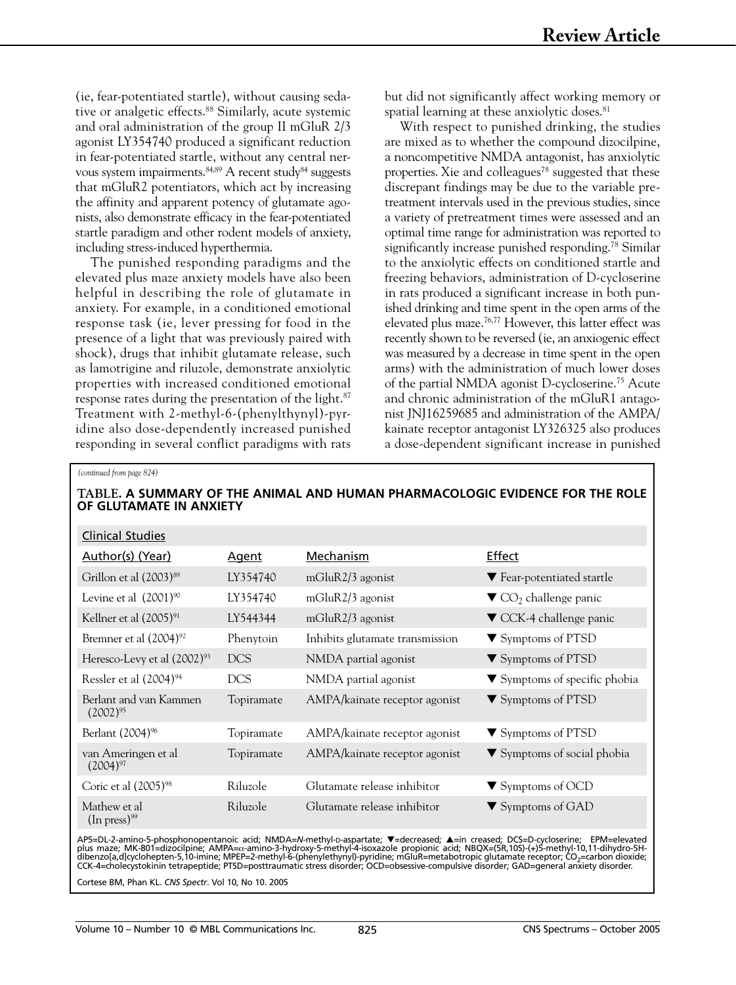(ie, fear-potentiated startle), without causing sedative or analgetic effects.<sup>88</sup> Similarly, acute systemic and oral administration of the group II mGluR 2/3 agonist LY354740 produced a significant reduction in fear-potentiated startle, without any central nervous system impairments.84,89 A recent study84 suggests that mGluR2 potentiators, which act by increasing the affinity and apparent potency of glutamate agonists, also demonstrate efficacy in the fear-potentiated startle paradigm and other rodent models of anxiety, including stress-induced hyperthermia.

The punished responding paradigms and the elevated plus maze anxiety models have also been helpful in describing the role of glutamate in anxiety. For example, in a conditioned emotional response task (ie, lever pressing for food in the presence of a light that was previously paired with shock), drugs that inhibit glutamate release, such as lamotrigine and riluzole, demonstrate anxiolytic properties with increased conditioned emotional response rates during the presentation of the light.<sup>87</sup> Treatment with 2-methyl-6-(phenylthynyl)-pyridine also dose-dependently increased punished responding in several conflict paradigms with rats

but did not significantly affect working memory or spatial learning at these anxiolytic doses.<sup>81</sup>

With respect to punished drinking, the studies are mixed as to whether the compound dizocilpine, a noncompetitive NMDA antagonist, has anxiolytic properties. Xie and colleagues<sup>78</sup> suggested that these discrepant findings may be due to the variable pretreatment intervals used in the previous studies, since a variety of pretreatment times were assessed and an optimal time range for administration was reported to significantly increase punished responding.<sup>78</sup> Similar to the anxiolytic effects on conditioned startle and freezing behaviors, administration of D-cycloserine in rats produced a significant increase in both punished drinking and time spent in the open arms of the elevated plus maze.76,77 However, this latter effect was recently shown to be reversed (ie, an anxiogenic effect was measured by a decrease in time spent in the open arms) with the administration of much lower doses of the partial NMDA agonist D-cycloserine.75 Acute and chronic administration of the mGluR1 antagonist JNJ16259685 and administration of the AMPA/ kainate receptor antagonist LY326325 also produces a dose-dependent significant increase in punished

#### *(continued from page 824)*

| TABLE. A SUMMARY OF THE ANIMAL AND HUMAN PHARMACOLOGIC EVIDENCE FOR THE ROLE<br>OF GLUTAMATE IN ANXIETY |              |                                 |                                                      |  |  |
|---------------------------------------------------------------------------------------------------------|--------------|---------------------------------|------------------------------------------------------|--|--|
| <b>Clinical Studies</b>                                                                                 |              |                                 |                                                      |  |  |
| Author(s) (Year)                                                                                        | <b>Agent</b> | Mechanism                       | <b>Effect</b>                                        |  |  |
| Grillon et al (2003) <sup>89</sup>                                                                      | LY354740     | mGluR2/3 agonist                | ▼ Fear-potentiated startle                           |  |  |
| Levine et al (2001) <sup>90</sup>                                                                       | LY354740     | mGluR2/3 agonist                | $\blacktriangledown$ CO <sub>2</sub> challenge panic |  |  |
| Kellner et al (2005) <sup>91</sup>                                                                      | LY544344     | $mGluR2/3$ agonist              | $\blacktriangledown$ CCK-4 challenge panic           |  |  |
| Bremner et al $(2004)^{92}$                                                                             | Phenytoin    | Inhibits glutamate transmission | ▼ Symptoms of PTSD                                   |  |  |
| Heresco-Levy et al $(2002)^{93}$                                                                        | <b>DCS</b>   | NMDA partial agonist            | ▼ Symptoms of PTSD                                   |  |  |
| Ressler et al (2004) <sup>94</sup>                                                                      | <b>DCS</b>   | NMDA partial agonist            | $\blacktriangledown$ Symptoms of specific phobia     |  |  |
| Berlant and van Kammen<br>$(2002)^{95}$                                                                 | Topiramate   | AMPA/kainate receptor agonist   | $\blacktriangledown$ Symptoms of PTSD                |  |  |
| Berlant (2004) <sup>96</sup>                                                                            | Topiramate   | AMPA/kainate receptor agonist   | $\blacktriangledown$ Symptoms of PTSD                |  |  |
| van Ameringen et al<br>$(2004)^{97}$                                                                    | Topiramate   | AMPA/kainate receptor agonist   | $\blacktriangledown$ Symptoms of social phobia       |  |  |
| Coric et al (2005) <sup>98</sup>                                                                        | Riluzole     | Glutamate release inhibitor     | $\blacktriangledown$ Symptoms of OCD                 |  |  |
| Mathew et al<br>$(In press)^{99}$                                                                       | Riluzole     | Glutamate release inhibitor     | $\blacktriangledown$ Symptoms of GAD                 |  |  |

AP5=DL-2-amino-5-phosphonopentanoic acid; NMDA=N-methyl-p-aspartate; ▼=decreased; ▲=in creased; DCS=D-cycloserine; EPM=elevated<br>plus maze; MK-801=dizocilpine; AMPA=α-amino-3-hydroxy-5-methyl-4-isoxazole propionic acid; NB

Cortese BM, Phan KL. *CNS Spectr*. Vol 10, No 10. 2005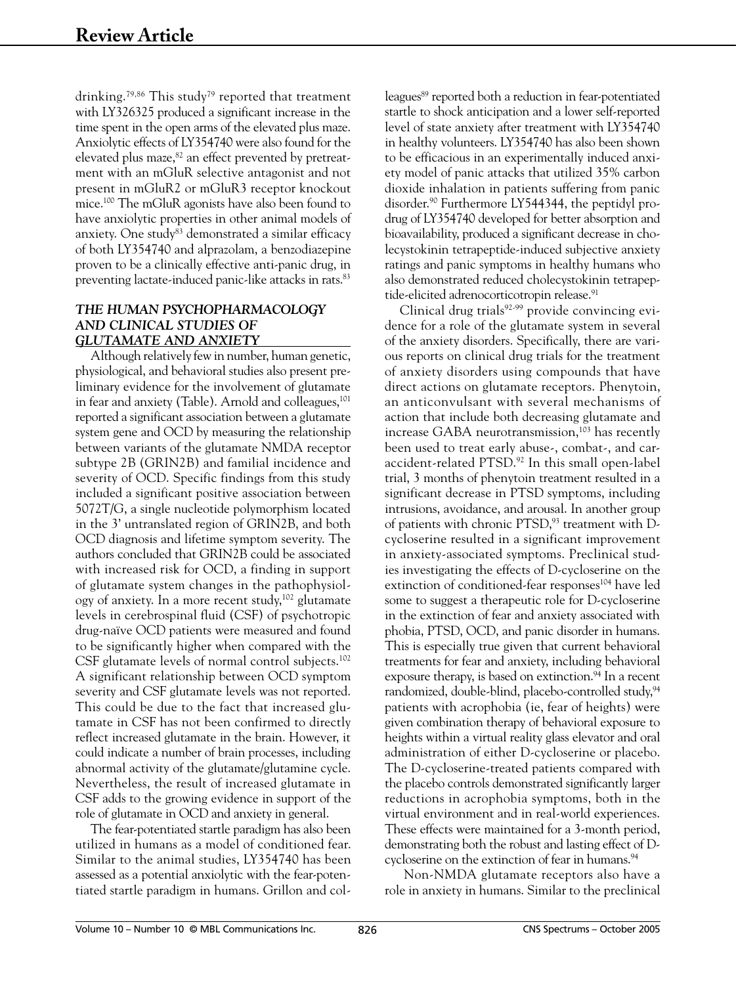drinking.<sup>79,86</sup> This study<sup>79</sup> reported that treatment with LY326325 produced a significant increase in the time spent in the open arms of the elevated plus maze. Anxiolytic effects of LY354740 were also found for the elevated plus maze,<sup>82</sup> an effect prevented by pretreatment with an mGluR selective antagonist and not present in mGluR2 or mGluR3 receptor knockout mice.100 The mGluR agonists have also been found to have anxiolytic properties in other animal models of anxiety. One study<sup>83</sup> demonstrated a similar efficacy of both LY354740 and alprazolam, a benzodiazepine proven to be a clinically effective anti-panic drug, in preventing lactate-induced panic-like attacks in rats.83

# *THE HUMAN PSYCHOPHARMACOLOGY AND CLINICAL STUDIES OF GLUTAMATE AND ANXIETY*

Although relatively few in number, human genetic, physiological, and behavioral studies also present preliminary evidence for the involvement of glutamate in fear and anxiety (Table). Arnold and colleagues,<sup>101</sup> reported a significant association between a glutamate system gene and OCD by measuring the relationship between variants of the glutamate NMDA receptor subtype 2B (GRIN2B) and familial incidence and severity of OCD. Specific findings from this study included a significant positive association between 5072T/G, a single nucleotide polymorphism located in the 3' untranslated region of GRIN2B, and both OCD diagnosis and lifetime symptom severity. The authors concluded that GRIN2B could be associated with increased risk for OCD, a finding in support of glutamate system changes in the pathophysiology of anxiety. In a more recent study,102 glutamate levels in cerebrospinal fluid (CSF) of psychotropic drug-naïve OCD patients were measured and found to be significantly higher when compared with the CSF glutamate levels of normal control subjects.<sup>102</sup> A significant relationship between OCD symptom severity and CSF glutamate levels was not reported. This could be due to the fact that increased glutamate in CSF has not been confirmed to directly reflect increased glutamate in the brain. However, it could indicate a number of brain processes, including abnormal activity of the glutamate/glutamine cycle. Nevertheless, the result of increased glutamate in CSF adds to the growing evidence in support of the role of glutamate in OCD and anxiety in general.

The fear-potentiated startle paradigm has also been utilized in humans as a model of conditioned fear. Similar to the animal studies, LY354740 has been assessed as a potential anxiolytic with the fear-potentiated startle paradigm in humans. Grillon and col-

leagues<sup>89</sup> reported both a reduction in fear-potentiated startle to shock anticipation and a lower self-reported level of state anxiety after treatment with LY354740 in healthy volunteers. LY354740 has also been shown to be efficacious in an experimentally induced anxiety model of panic attacks that utilized 35% carbon dioxide inhalation in patients suffering from panic disorder.90 Furthermore LY544344, the peptidyl prodrug of LY354740 developed for better absorption and bioavailability, produced a significant decrease in cholecystokinin tetrapeptide-induced subjective anxiety ratings and panic symptoms in healthy humans who also demonstrated reduced cholecystokinin tetrapeptide-elicited adrenocorticotropin release.<sup>91</sup>

Clinical drug trials $92-99$  provide convincing evidence for a role of the glutamate system in several of the anxiety disorders. Specifically, there are various reports on clinical drug trials for the treatment of anxiety disorders using compounds that have direct actions on glutamate receptors. Phenytoin, an anticonvulsant with several mechanisms of action that include both decreasing glutamate and increase GABA neurotransmission, $103$  has recently been used to treat early abuse-, combat-, and caraccident-related PTSD.92 In this small open-label trial, 3 months of phenytoin treatment resulted in a significant decrease in PTSD symptoms, including intrusions, avoidance, and arousal. In another group of patients with chronic PTSD,<sup>93</sup> treatment with Dcycloserine resulted in a significant improvement in anxiety-associated symptoms. Preclinical studies investigating the effects of D-cycloserine on the extinction of conditioned-fear responses<sup>104</sup> have led some to suggest a therapeutic role for D-cycloserine in the extinction of fear and anxiety associated with phobia, PTSD, OCD, and panic disorder in humans. This is especially true given that current behavioral treatments for fear and anxiety, including behavioral exposure therapy, is based on extinction.<sup>94</sup> In a recent randomized, double-blind, placebo-controlled study,<sup>94</sup> patients with acrophobia (ie, fear of heights) were given combination therapy of behavioral exposure to heights within a virtual reality glass elevator and oral administration of either D-cycloserine or placebo. The D-cycloserine-treated patients compared with the placebo controls demonstrated significantly larger reductions in acrophobia symptoms, both in the virtual environment and in real-world experiences. These effects were maintained for a 3-month period, demonstrating both the robust and lasting effect of Dcycloserine on the extinction of fear in humans.<sup>94</sup>

 Non-NMDA glutamate receptors also have a role in anxiety in humans. Similar to the preclinical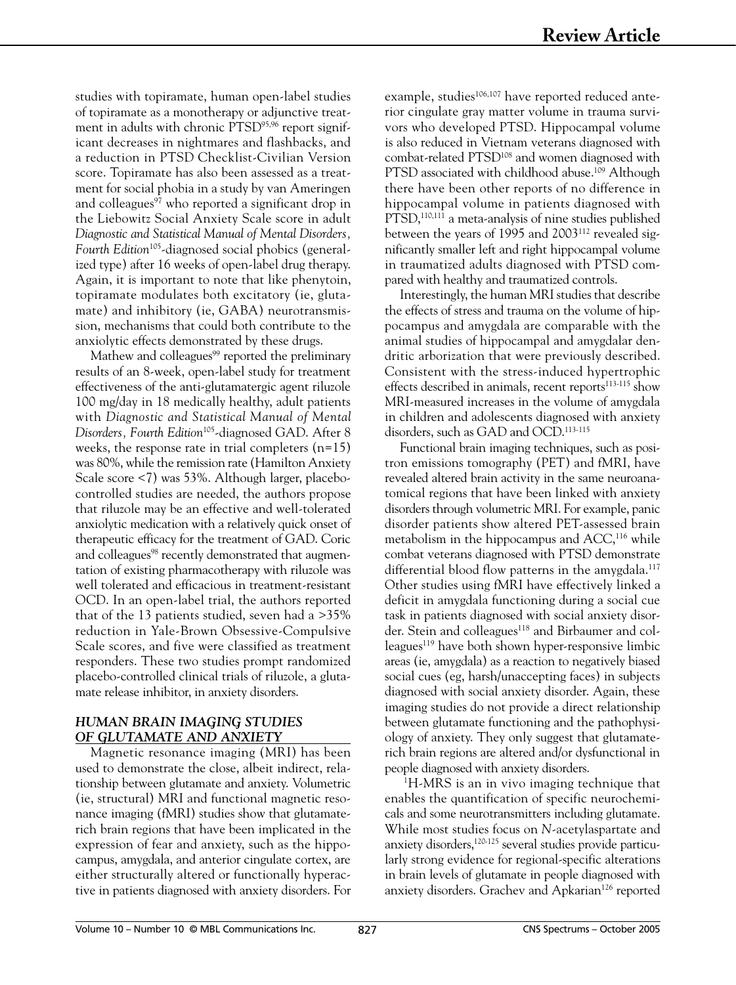studies with topiramate, human open-label studies of topiramate as a monotherapy or adjunctive treatment in adults with chronic PTSD95,96 report significant decreases in nightmares and flashbacks, and a reduction in PTSD Checklist-Civilian Version score. Topiramate has also been assessed as a treatment for social phobia in a study by van Ameringen and colleagues<sup>97</sup> who reported a significant drop in the Liebowitz Social Anxiety Scale score in adult *Diagnostic and Statistical Manual of Mental Disorders,*  Fourth Edition<sup>105</sup>-diagnosed social phobics (generalized type) after 16 weeks of open-label drug therapy. Again, it is important to note that like phenytoin, topiramate modulates both excitatory (ie, glutamate) and inhibitory (ie, GABA) neurotransmission, mechanisms that could both contribute to the anxiolytic effects demonstrated by these drugs.

Mathew and colleagues<sup>99</sup> reported the preliminary results of an 8-week, open-label study for treatment effectiveness of the anti-glutamatergic agent riluzole 100 mg/day in 18 medically healthy, adult patients with *Diagnostic and Statistical Manual of Mental Disorders, Fourth Edition*105-diagnosed GAD. After 8 weeks, the response rate in trial completers  $(n=15)$ was 80%, while the remission rate (Hamilton Anxiety Scale score <7) was 53%. Although larger, placebocontrolled studies are needed, the authors propose that riluzole may be an effective and well-tolerated anxiolytic medication with a relatively quick onset of therapeutic efficacy for the treatment of GAD. Coric and colleagues<sup>98</sup> recently demonstrated that augmentation of existing pharmacotherapy with riluzole was well tolerated and efficacious in treatment-resistant OCD. In an open-label trial, the authors reported that of the 13 patients studied, seven had a >35% reduction in Yale-Brown Obsessive-Compulsive Scale scores, and five were classified as treatment responders. These two studies prompt randomized placebo-controlled clinical trials of riluzole, a glutamate release inhibitor, in anxiety disorders.

## *HUMAN BRAIN IMAGING STUDIES OF GLUTAMATE AND ANXIETY*

Magnetic resonance imaging (MRI) has been used to demonstrate the close, albeit indirect, relationship between glutamate and anxiety. Volumetric (ie, structural) MRI and functional magnetic resonance imaging (fMRI) studies show that glutamaterich brain regions that have been implicated in the expression of fear and anxiety, such as the hippocampus, amygdala, and anterior cingulate cortex, are either structurally altered or functionally hyperactive in patients diagnosed with anxiety disorders. For

example, studies<sup>106,107</sup> have reported reduced anterior cingulate gray matter volume in trauma survivors who developed PTSD. Hippocampal volume is also reduced in Vietnam veterans diagnosed with combat-related PTSD108 and women diagnosed with PTSD associated with childhood abuse.<sup>109</sup> Although there have been other reports of no difference in hippocampal volume in patients diagnosed with PTSD,<sup>110,111</sup> a meta-analysis of nine studies published between the years of 1995 and 2003<sup>112</sup> revealed significantly smaller left and right hippocampal volume in traumatized adults diagnosed with PTSD compared with healthy and traumatized controls.

Interestingly, the human MRI studies that describe the effects of stress and trauma on the volume of hippocampus and amygdala are comparable with the animal studies of hippocampal and amygdalar dendritic arborization that were previously described. Consistent with the stress-induced hypertrophic effects described in animals, recent reports<sup>113-115</sup> show MRI-measured increases in the volume of amygdala in children and adolescents diagnosed with anxiety disorders, such as GAD and OCD.113-115

Functional brain imaging techniques, such as positron emissions tomography (PET) and fMRI, have revealed altered brain activity in the same neuroanatomical regions that have been linked with anxiety disorders through volumetric MRI. For example, panic disorder patients show altered PET-assessed brain metabolism in the hippocampus and ACC,<sup>116</sup> while combat veterans diagnosed with PTSD demonstrate differential blood flow patterns in the amygdala.<sup>117</sup> Other studies using fMRI have effectively linked a deficit in amygdala functioning during a social cue task in patients diagnosed with social anxiety disorder. Stein and colleagues<sup>118</sup> and Birbaumer and colleagues<sup>119</sup> have both shown hyper-responsive limbic areas (ie, amygdala) as a reaction to negatively biased social cues (eg, harsh/unaccepting faces) in subjects diagnosed with social anxiety disorder. Again, these imaging studies do not provide a direct relationship between glutamate functioning and the pathophysiology of anxiety. They only suggest that glutamaterich brain regions are altered and/or dysfunctional in people diagnosed with anxiety disorders. 1

<sup>1</sup>H-MRS is an in vivo imaging technique that enables the quantification of specific neurochemicals and some neurotransmitters including glutamate. While most studies focus on *N*-acetylaspartate and anxiety disorders,<sup>120-125</sup> several studies provide particularly strong evidence for regional-specific alterations in brain levels of glutamate in people diagnosed with anxiety disorders. Grachev and Apkarian<sup>126</sup> reported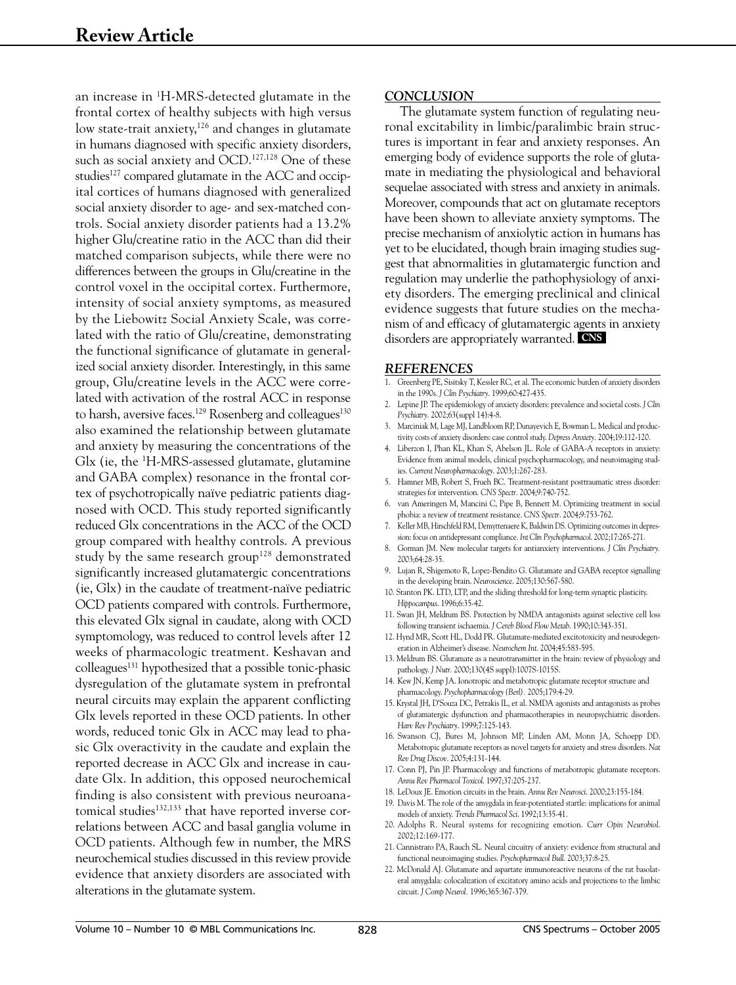an increase in 1 H-MRS-detected glutamate in the frontal cortex of healthy subjects with high versus low state-trait anxiety,<sup>126</sup> and changes in glutamate in humans diagnosed with specific anxiety disorders, such as social anxiety and OCD.<sup>127,128</sup> One of these studies<sup>127</sup> compared glutamate in the ACC and occipital cortices of humans diagnosed with generalized social anxiety disorder to age- and sex-matched controls. Social anxiety disorder patients had a 13.2% higher Glu/creatine ratio in the ACC than did their matched comparison subjects, while there were no differences between the groups in Glu/creatine in the control voxel in the occipital cortex. Furthermore, intensity of social anxiety symptoms, as measured by the Liebowitz Social Anxiety Scale, was correlated with the ratio of Glu/creatine, demonstrating the functional significance of glutamate in generalized social anxiety disorder. Interestingly, in this same group, Glu/creatine levels in the ACC were correlated with activation of the rostral ACC in response to harsh, aversive faces.<sup>129</sup> Rosenberg and colleagues<sup>130</sup> also examined the relationship between glutamate and anxiety by measuring the concentrations of the Glx (ie, the 1 H-MRS-assessed glutamate, glutamine and GABA complex) resonance in the frontal cortex of psychotropically naïve pediatric patients diagnosed with OCD. This study reported significantly reduced Glx concentrations in the ACC of the OCD group compared with healthy controls. A previous study by the same research group<sup>128</sup> demonstrated significantly increased glutamatergic concentrations (ie, Glx) in the caudate of treatment-naïve pediatric OCD patients compared with controls. Furthermore, this elevated Glx signal in caudate, along with OCD symptomology, was reduced to control levels after 12 weeks of pharmacologic treatment. Keshavan and colleagues<sup>131</sup> hypothesized that a possible tonic-phasic dysregulation of the glutamate system in prefrontal neural circuits may explain the apparent conflicting Glx levels reported in these OCD patients. In other words, reduced tonic Glx in ACC may lead to phasic Glx overactivity in the caudate and explain the reported decrease in ACC Glx and increase in caudate Glx. In addition, this opposed neurochemical finding is also consistent with previous neuroanatomical studies<sup>132,133</sup> that have reported inverse correlations between ACC and basal ganglia volume in OCD patients. Although few in number, the MRS neurochemical studies discussed in this review provide evidence that anxiety disorders are associated with alterations in the glutamate system.

## *CONCLUSION*

The glutamate system function of regulating neuronal excitability in limbic/paralimbic brain structures is important in fear and anxiety responses. An emerging body of evidence supports the role of glutamate in mediating the physiological and behavioral sequelae associated with stress and anxiety in animals. Moreover, compounds that act on glutamate receptors have been shown to alleviate anxiety symptoms. The precise mechanism of anxiolytic action in humans has yet to be elucidated, though brain imaging studies suggest that abnormalities in glutamatergic function and regulation may underlie the pathophysiology of anxiety disorders. The emerging preclinical and clinical evidence suggests that future studies on the mechanism of and efficacy of glutamatergic agents in anxiety disorders are appropriately warranted. **CNS**

#### *REFERENCES*

- 1. Greenberg PE, Sisitsky T, Kessler RC, et al. The economic burden of anxiety disorders in the 1990s. *J Clin Psychiatry*. 1999;60:427-435.
- 2. Lepine JP. The epidemiology of anxiety disorders: prevalence and societal costs. *J Clin Psychiatry*. 2002;63(suppl 14):4-8.
- 3. Marciniak M, Lage MJ, Landbloom RP, Dunayevich E, Bowman L. Medical and productivity costs of anxiety disorders: case control study. *Depress Anxiety.* 2004;19:112-120.
- 4. Liberzon I, Phan KL, Khan S, Abelson JL. Role of GABA-A receptors in anxiety: Evidence from animal models, clinical psychopharmacology, and neuroimaging studies. *Current Neuropharmacology*. 2003;1:267-283.
- 5. Hamner MB, Robert S, Frueh BC. Treatment-resistant posttraumatic stress disorder: strategies for intervention. *CNS Spectr*. 2004;9:740-752.
- 6. van Ameringen M, Mancini C, Pipe B, Bennett M. Optimizing treatment in social phobia: a review of treatment resistance. *CNS Spectr*. 2004;9:753-762.
- 7. Keller MB, Hirschfeld RM, Demyttenaere K, Baldwin DS. Optimizing outcomes in depression: focus on antidepressant compliance. *Int Clin Psychopharmacol*. 2002;17:265-271.
- 8. Gorman JM. New molecular targets for antianxiety interventions. *J Clin Psychiatry.* 2003;64:28-35.
- 9. Lujan R, Shigemoto R, Lopez-Bendito G. Glutamate and GABA receptor signalling in the developing brain. *Neuroscience*. 2005;130:567-580.
- 10. Stanton PK. LTD, LTP, and the sliding threshold for long-term synaptic plasticity. *Hippocampus*. 1996;6:35-42.
- 11. Swan JH, Meldrum BS. Protection by NMDA antagonists against selective cell loss following transient ischaemia. *J Cereb Blood Flow Metab*. 1990;10:343-351.
- 12. Hynd MR, Scott HL, Dodd PR. Glutamate-mediated excitotoxicity and neurodegeneration in Alzheimer's disease. *Neurochem Int*. 2004;45:583-595.
- 13. Meldrum BS. Glutamate as a neurotransmitter in the brain: review of physiology and pathology. *J Nutr*. 2000;130(4S suppl):1007S-1015S.
- 14. Kew JN, Kemp JA. Ionotropic and metabotropic glutamate receptor structure and pharmacology. *Psychopharmacology (Berl).* 2005;179:4-29.
- 15. Krystal JH, D'Souza DC, Petrakis IL, et al. NMDA agonists and antagonists as probes of glutamatergic dysfunction and pharmacotherapies in neuropsychiatric disorders. *Harv Rev Psychiatry*. 1999;7:125-143.
- 16. Swanson CJ, Bures M, Johnson MP, Linden AM, Monn JA, Schoepp DD. Metabotropic glutamate receptors as novel targets for anxiety and stress disorders. *Nat Rev Drug Discov*. 2005;4:131-144.
- 17. Conn PJ, Pin JP. Pharmacology and functions of metabotropic glutamate receptors. *Annu Rev Pharmacol Toxicol*. 1997;37:205-237.
- 18. LeDoux JE. Emotion circuits in the brain. *Annu Rev Neurosci*. 2000;23:155-184.
- 19. Davis M. The role of the amygdala in fear-potentiated startle: implications for animal models of anxiety. *Trends Pharmacol Sci*. 1992;13:35-41.
- 20. Adolphs R. Neural systems for recognizing emotion. *Curr Opin Neurobiol*. 2002;12:169-177.
- 21. Cannistraro PA, Rauch SL. Neural circuitry of anxiety: evidence from structural and functional neuroimaging studies. *Psychopharmacol Bull*. 2003;37:8-25.
- 22. McDonald AJ. Glutamate and aspartate immunoreactive neurons of the rat basolateral amygdala: colocalization of excitatory amino acids and projections to the limbic circuit. *J Comp Neurol.* 1996;365:367-379.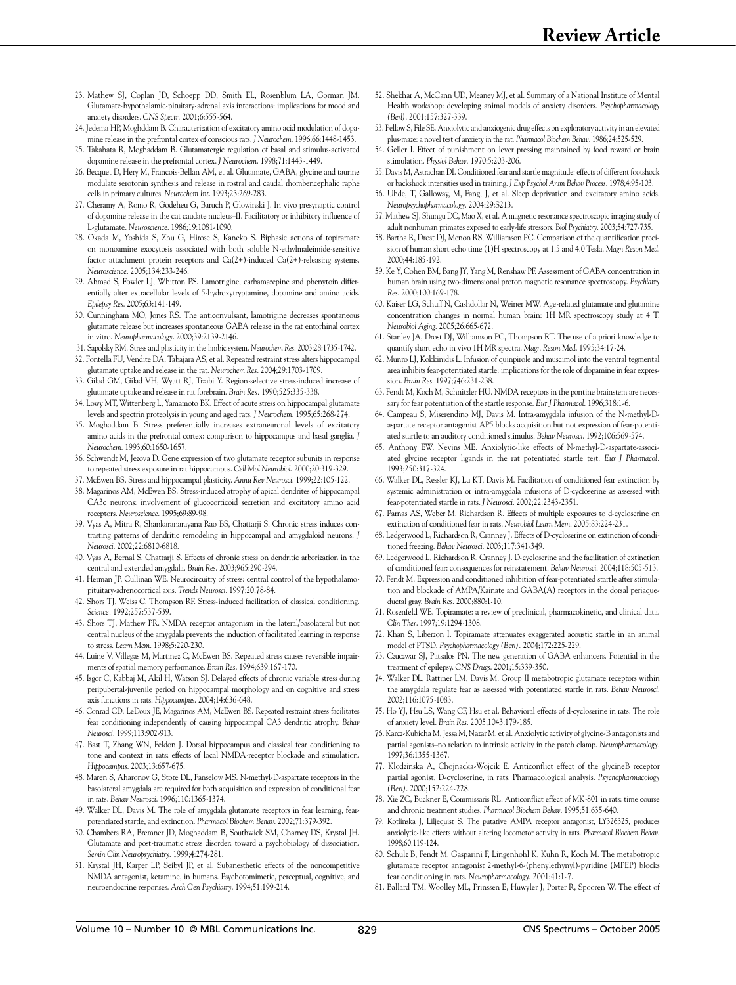- 23. Mathew SJ, Coplan JD, Schoepp DD, Smith EL, Rosenblum LA, Gorman JM. Glutamate-hypothalamic-pituitary-adrenal axis interactions: implications for mood and anxiety disorders. *CNS Spectr.* 2001;6:555-564.
- 24. Jedema HP, Moghddam B. Characterization of excitatory amino acid modulation of dopamine release in the prefrontal cortex of conscious rats. *J Neurochem*. 1996;66:1448-1453.
- 25. Takahata R, Moghaddam B. Glutamatergic regulation of basal and stimulus-activated dopamine release in the prefrontal cortex. *J Neurochem*. 1998;71:1443-1449.
- 26. Becquet D, Hery M, Francois-Bellan AM, et al. Glutamate, GABA, glycine and taurine modulate serotonin synthesis and release in rostral and caudal rhombencephalic raphe cells in primary cultures. *Neurochem Int*. 1993;23:269-283.
- 27. Cheramy A, Romo R, Godeheu G, Baruch P, Glowinski J. In vivo presynaptic control of dopamine release in the cat caudate nucleus–II. Facilitatory or inhibitory influence of L-glutamate. *Neuroscience*. 1986;19:1081-1090.
- 28. Okada M, Yoshida S, Zhu G, Hirose S, Kaneko S. Biphasic actions of topiramate on monoamine exocytosis associated with both soluble N-ethylmaleimide-sensitive factor attachment protein receptors and Ca(2+)-induced Ca(2+)-releasing systems. *Neuroscience*. 2005;134:233-246.
- 29. Ahmad S, Fowler LJ, Whitton PS. Lamotrigine, carbamazepine and phenytoin differentially alter extracellular levels of 5-hydroxytryptamine, dopamine and amino acids. *Epilepsy Res*. 2005;63:141-149.
- 30. Cunningham MO, Jones RS. The anticonvulsant, lamotrigine decreases spontaneous glutamate release but increases spontaneous GABA release in the rat entorhinal cortex in vitro. *Neuropharmacology*. 2000;39:2139-2146.
- 31. Sapolsky RM. Stress and plasticity in the limbic system. *Neurochem Res*. 2003;28:1735-1742.
- 32. Fontella FU, Vendite DA, Tabajara AS, et al. Repeated restraint stress alters hippocampal glutamate uptake and release in the rat. *Neurochem Res*. 2004;29:1703-1709.
- 33. Gilad GM, Gilad VH, Wyatt RJ, Tizabi Y. Region-selective stress-induced increase of glutamate uptake and release in rat forebrain. *Brain Res.* 1990;525:335-338.
- 34. Lowy MT, Wittenberg L, Yamamoto BK. Effect of acute stress on hippocampal glutamate levels and spectrin proteolysis in young and aged rats. *J Neurochem*. 1995;65:268-274.
- 35. Moghaddam B. Stress preferentially increases extraneuronal levels of excitatory amino acids in the prefrontal cortex: comparison to hippocampus and basal ganglia. *J Neurochem*. 1993;60:1650-1657.
- 36. Schwendt M, Jezova D. Gene expression of two glutamate receptor subunits in response to repeated stress exposure in rat hippocampus. *Cell Mol Neurobiol*. 2000;20:319-329.
- 37. McEwen BS. Stress and hippocampal plasticity. *Annu Rev Neurosci*. 1999;22:105-122.
- 38. Magarinos AM, McEwen BS. Stress-induced atrophy of apical dendrites of hippocampal CA3c neurons: involvement of glucocorticoid secretion and excitatory amino acid receptors. *Neuroscience*. 1995;69:89-98.
- 39. Vyas A, Mitra R, Shankaranarayana Rao BS, Chattarji S. Chronic stress induces contrasting patterns of dendritic remodeling in hippocampal and amygdaloid neurons. *J Neurosci*. 2002;22:6810-6818.
- 40. Vyas A, Bernal S, Chattarji S. Effects of chronic stress on dendritic arborization in the central and extended amygdala. *Brain Res*. 2003;965:290-294.
- 41. Herman JP, Cullinan WE. Neurocircuitry of stress: central control of the hypothalamopituitary-adrenocortical axis. *Trends Neurosci*. 1997;20:78-84.
- 42. Shors TJ, Weiss C, Thompson RF. Stress-induced facilitation of classical conditioning. *Science.* 1992;257:537-539.
- 43. Shors TJ, Mathew PR. NMDA receptor antagonism in the lateral/basolateral but not central nucleus of the amygdala prevents the induction of facilitated learning in response to stress. *Learn Mem*. 1998;5:220-230.
- 44. Luine V, Villegas M, Martinez C, McEwen BS. Repeated stress causes reversible impairments of spatial memory performance. *Brain Res*. 1994;639:167-170.
- 45. Isgor C, Kabbaj M, Akil H, Watson SJ. Delayed effects of chronic variable stress during peripubertal-juvenile period on hippocampal morphology and on cognitive and stress axis functions in rats. *Hippocampus*. 2004;14:636-648.
- 46. Conrad CD, LeDoux JE, Magarinos AM, McEwen BS. Repeated restraint stress facilitates fear conditioning independently of causing hippocampal CA3 dendritic atrophy. *Behav Neurosci.* 1999;113:902-913.
- 47. Bast T, Zhang WN, Feldon J. Dorsal hippocampus and classical fear conditioning to tone and context in rats: effects of local NMDA-receptor blockade and stimulation. *Hippocampus*. 2003;13:657-675.
- 48. Maren S, Aharonov G, Stote DL, Fanselow MS. N-methyl-D-aspartate receptors in the basolateral amygdala are required for both acquisition and expression of conditional fear in rats. *Behav Neurosci*. 1996;110:1365-1374.
- 49. Walker DL, Davis M. The role of amygdala glutamate receptors in fear learning, fearpotentiated startle, and extinction. *Pharmacol Biochem Behav*. 2002;71:379-392.
- 50. Chambers RA, Bremner JD, Moghaddam B, Southwick SM, Charney DS, Krystal JH. Glutamate and post-traumatic stress disorder: toward a psychobiology of dissociation. *Semin Clin Neuropsychiatry*. 1999;4:274-281.
- 51. Krystal JH, Karper LP, Seibyl JP, et al. Subanesthetic effects of the noncompetitive NMDA antagonist, ketamine, in humans. Psychotomimetic, perceptual, cognitive, and neuroendocrine responses. *Arch Gen Psychiatry*. 1994;51:199-214.
- 52. Shekhar A, McCann UD, Meaney MJ, et al. Summary of a National Institute of Mental Health workshop: developing animal models of anxiety disorders. *Psychopharmacology (Berl)*. 2001;157:327-339.
- 53. Pellow S, File SE. Anxiolytic and anxiogenic drug effects on exploratory activity in an elevated plus-maze: a novel test of anxiety in the rat. *Pharmacol Biochem Behav*. 1986;24:525-529.
- 54. Geller I. Effect of punishment on lever pressing maintained by food reward or brain stimulation. *Physiol Behav.* 1970;5:203-206.
- 55. Davis M, Astrachan DI. Conditioned fear and startle magnitude: effects of different footshock or backshock intensities used in training. *J Exp Psychol Anim Behav Process*. 1978;4:95-103.
- 56. Uhde, T, Galloway, M, Fang, J, et al. Sleep deprivation and excitatory amino acids. *Neuropsychopharmacology*. 2004;29:S213.
- 57. Mathew SJ, Shungu DC, Mao X, et al. A magnetic resonance spectroscopic imaging study of adult nonhuman primates exposed to early-life stressors. B*iol Psychiatry*. 2003;54:727-735.
- 58. Bartha R, Drost DJ, Menon RS, Williamson PC. Comparison of the quantification precision of human short echo time (1)H spectroscopy at 1.5 and 4.0 Tesla. *Magn Reson Med*. 2000;44:185-192.
- 59. Ke Y, Cohen BM, Bang JY, Yang M, Renshaw PF. Assessment of GABA concentration in human brain using two-dimensional proton magnetic resonance spectroscopy. *Psychiatry Res*. 2000;100:169-178.
- 60. Kaiser LG, Schuff N, Cashdollar N, Weiner MW. Age-related glutamate and glutamine concentration changes in normal human brain: 1H MR spectroscopy study at 4 T. *Neurobiol Aging*. 2005;26:665-672.
- 61. Stanley JA, Drost DJ, Williamson PC, Thompson RT. The use of a priori knowledge to quantify short echo in vivo 1H MR spectra. *Magn Reson Med*. 1995;34:17-24.
- 62. Munro LJ, Kokkinidis L. Infusion of quinpirole and muscimol into the ventral tegmental area inhibits fear-potentiated startle: implications for the role of dopamine in fear expression. *Brain Res*. 1997;746:231-238.
- 63. Fendt M, Koch M, Schnitzler HU. NMDA receptors in the pontine brainstem are necessary for fear potentiation of the startle response. *Eur J Pharmacol*. 1996;318:1-6.
- 64. Campeau S, Miserendino MJ, Davis M. Intra-amygdala infusion of the N-methyl-Daspartate receptor antagonist AP5 blocks acquisition but not expression of fear-potentiated startle to an auditory conditioned stimulus. *Behav Neurosci*. 1992;106:569-574.
- 65. Anthony EW, Nevins ME. Anxiolytic-like effects of N-methyl-D-aspartate-associated glycine receptor ligands in the rat potentiated startle test. *Eur J Pharmacol.* 1993;250:317-324.
- 66. Walker DL, Ressler KJ, Lu KT, Davis M. Facilitation of conditioned fear extinction by systemic administration or intra-amygdala infusions of D-cycloserine as assessed with fear-potentiated startle in rats. *J Neurosci*. 2002;22:2343-2351.
- 67. Parnas AS, Weber M, Richardson R. Effects of multiple exposures to d-cycloserine on extinction of conditioned fear in rats. *Neurobiol Learn Mem*. 2005;83:224-231.
- 68. Ledgerwood L, Richardson R, Cranney J. Effects of D-cycloserine on extinction of conditioned freezing. *Behav Neurosci*. 2003;117:341-349.
- 69. Ledgerwood L, Richardson R, Cranney J. D-cycloserine and the facilitation of extinction of conditioned fear: consequences for reinstatement. *Behav Neurosci*. 2004;118:505-513.
- 70. Fendt M. Expression and conditioned inhibition of fear-potentiated startle after stimulation and blockade of AMPA/Kainate and GABA(A) receptors in the dorsal periaqueductal gray. *Brain Res*. 2000;880:1-10.
- 71. Rosenfeld WE. Topiramate: a review of preclinical, pharmacokinetic, and clinical data. *Clin Ther*. 1997;19:1294-1308.
- 72. Khan S, Liberzon I. Topiramate attenuates exaggerated acoustic startle in an animal model of PTSD. *Psychopharmacology (Berl).* 2004;172:225-229.
- 73. Czuczwar SJ, Patsalos PN. The new generation of GABA enhancers. Potential in the treatment of epilepsy. *CNS Drugs*. 2001;15:339-350.
- 74. Walker DL, Rattiner LM, Davis M. Group II metabotropic glutamate receptors within the amygdala regulate fear as assessed with potentiated startle in rats. *Behav Neurosci*. 2002;116:1075-1083.
- 75. Ho YJ, Hsu LS, Wang CF, Hsu et al. Behavioral effects of d-cycloserine in rats: The role of anxiety level. *Brain Res*. 2005;1043:179-185.
- 76. Karcz-Kubicha M, Jessa M, Nazar M, et al. Anxiolytic activity of glycine-B antagonists and partial agonists–no relation to intrinsic activity in the patch clamp. *Neuropharmacology*. 1997;36:1355-1367.
- 77. Klodzinska A, Chojnacka-Wojcik E. Anticonflict effect of the glycineB receptor partial agonist, D-cycloserine, in rats. Pharmacological analysis. *Psychopharmacology (Berl)*. 2000;152:224-228.
- 78. Xie ZC, Buckner E, Commissaris RL. Anticonflict effect of MK-801 in rats: time course and chronic treatment studies. *Pharmacol Biochem Behav*. 1995;51:635-640.
- 79. Kotlinska J, Liljequist S. The putative AMPA receptor antagonist, LY326325, produces anxiolytic-like effects without altering locomotor activity in rats. *Pharmacol Biochem Behav*. 1998;60:119-124.
- 80. Schulz B, Fendt M, Gasparini F, Lingenhohl K, Kuhn R, Koch M. The metabotropic glutamate receptor antagonist 2-methyl-6-(phenylethynyl)-pyridine (MPEP) blocks fear conditioning in rats. *Neuropharmacology*. 2001;41:1-7.
- 81. Ballard TM, Woolley ML, Prinssen E, Huwyler J, Porter R, Spooren W. The effect of